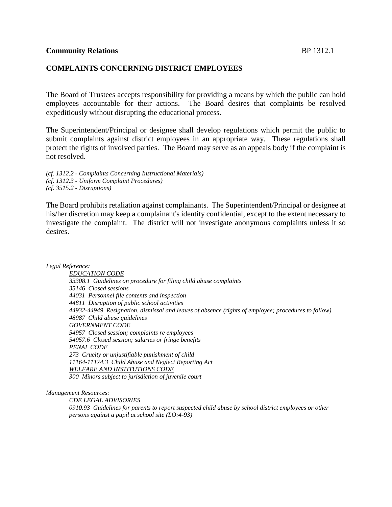### **COMPLAINTS CONCERNING DISTRICT EMPLOYEES**

The Board of Trustees accepts responsibility for providing a means by which the public can hold employees accountable for their actions. The Board desires that complaints be resolved expeditiously without disrupting the educational process.

The Superintendent/Principal or designee shall develop regulations which permit the public to submit complaints against district employees in an appropriate way. These regulations shall protect the rights of involved parties. The Board may serve as an appeals body if the complaint is not resolved.

*(cf. 1312.2 - Complaints Concerning Instructional Materials) (cf. 1312.3 - Uniform Complaint Procedures) (cf. 3515.2 - Disruptions)*

The Board prohibits retaliation against complainants. The Superintendent/Principal or designee at his/her discretion may keep a complainant's identity confidential, except to the extent necessary to investigate the complaint. The district will not investigate anonymous complaints unless it so desires.

*Legal Reference:*

*EDUCATION CODE 33308.1 Guidelines on procedure for filing child abuse complaints 35146 Closed sessions 44031 Personnel file contents and inspection 44811 Disruption of public school activities 44932-44949 Resignation, dismissal and leaves of absence (rights of employee; procedures to follow) 48987 Child abuse guidelines GOVERNMENT CODE 54957 Closed session; complaints re employees 54957.6 Closed session; salaries or fringe benefits PENAL CODE 273 Cruelty or unjustifiable punishment of child 11164-11174.3 Child Abuse and Neglect Reporting Act WELFARE AND INSTITUTIONS CODE 300 Minors subject to jurisdiction of juvenile court*

*Management Resources:*

*CDE LEGAL ADVISORIES*

*0910.93 Guidelines for parents to report suspected child abuse by school district employees or other persons against a pupil at school site (LO:4-93)*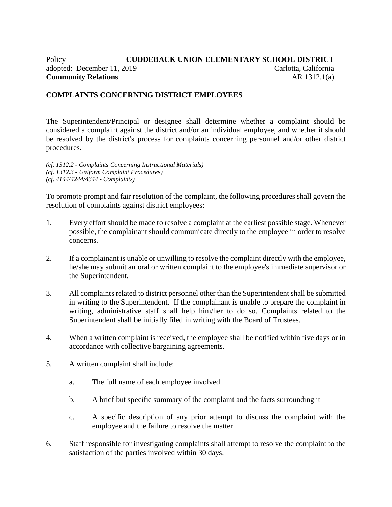# Policy **CUDDEBACK UNION ELEMENTARY SCHOOL DISTRICT** adopted: December 11, 2019 Carlotta, California **Community Relations** AR 1312.1(a)

## **COMPLAINTS CONCERNING DISTRICT EMPLOYEES**

The Superintendent/Principal or designee shall determine whether a complaint should be considered a complaint against the district and/or an individual employee, and whether it should be resolved by the district's process for complaints concerning personnel and/or other district procedures.

*(cf. 1312.2 - Complaints Concerning Instructional Materials) (cf. 1312.3 - Uniform Complaint Procedures) (cf. 4144/4244/4344 - Complaints)*

To promote prompt and fair resolution of the complaint, the following procedures shall govern the resolution of complaints against district employees:

- 1. Every effort should be made to resolve a complaint at the earliest possible stage. Whenever possible, the complainant should communicate directly to the employee in order to resolve concerns.
- 2. If a complainant is unable or unwilling to resolve the complaint directly with the employee, he/she may submit an oral or written complaint to the employee's immediate supervisor or the Superintendent.
- 3. All complaints related to district personnel other than the Superintendent shall be submitted in writing to the Superintendent. If the complainant is unable to prepare the complaint in writing, administrative staff shall help him/her to do so. Complaints related to the Superintendent shall be initially filed in writing with the Board of Trustees.
- 4. When a written complaint is received, the employee shall be notified within five days or in accordance with collective bargaining agreements.
- 5. A written complaint shall include:
	- a. The full name of each employee involved
	- b. A brief but specific summary of the complaint and the facts surrounding it
	- c. A specific description of any prior attempt to discuss the complaint with the employee and the failure to resolve the matter
- 6. Staff responsible for investigating complaints shall attempt to resolve the complaint to the satisfaction of the parties involved within 30 days.